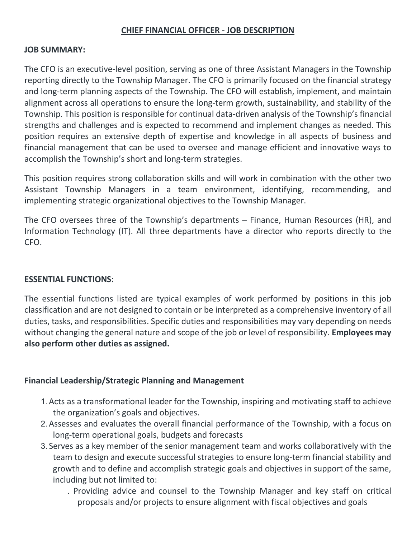### **CHIEF FINANCIAL OFFICER - JOB DESCRIPTION**

#### **JOB SUMMARY:**

The CFO is an executive-level position, serving as one of three Assistant Managers in the Township reporting directly to the Township Manager. The CFO is primarily focused on the financial strategy and long-term planning aspects of the Township. The CFO will establish, implement, and maintain alignment across all operations to ensure the long-term growth, sustainability, and stability of the Township. This position is responsible for continual data-driven analysis of the Township's financial strengths and challenges and is expected to recommend and implement changes as needed. This position requires an extensive depth of expertise and knowledge in all aspects of business and financial management that can be used to oversee and manage efficient and innovative ways to accomplish the Township's short and long-term strategies.

This position requires strong collaboration skills and will work in combination with the other two Assistant Township Managers in a team environment, identifying, recommending, and implementing strategic organizational objectives to the Township Manager.

The CFO oversees three of the Township's departments – Finance, Human Resources (HR), and Information Technology (IT). All three departments have a director who reports directly to the CFO.

#### **ESSENTIAL FUNCTIONS:**

The essential functions listed are typical examples of work performed by positions in this job classification and are not designed to contain or be interpreted as a comprehensive inventory of all duties, tasks, and responsibilities. Specific duties and responsibilities may vary depending on needs without changing the general nature and scope of the job or level of responsibility. **Employees may also perform other duties as assigned.**

#### **Financial Leadership/Strategic Planning and Management**

- 1.Acts as a transformational leader for the Township, inspiring and motivating staff to achieve the organization's goals and objectives.
- 2.Assesses and evaluates the overall financial performance of the Township, with a focus on long-term operational goals, budgets and forecasts
- 3. Serves as a key member of the senior management team and works collaboratively with the team to design and execute successful strategies to ensure long-term financial stability and growth and to define and accomplish strategic goals and objectives in support of the same, including but not limited to:
	- . Providing advice and counsel to the Township Manager and key staff on critical proposals and/or projects to ensure alignment with fiscal objectives and goals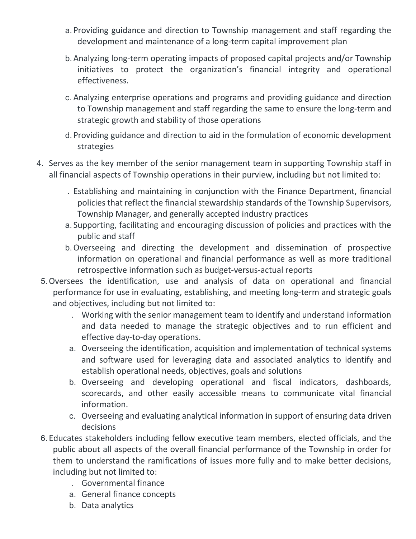- a. Providing guidance and direction to Township management and staff regarding the development and maintenance of a long-term capital improvement plan
- b.Analyzing long-term operating impacts of proposed capital projects and/or Township initiatives to protect the organization's financial integrity and operational effectiveness.
- c. Analyzing enterprise operations and programs and providing guidance and direction to Township management and staff regarding the same to ensure the long-term and strategic growth and stability of those operations
- d. Providing guidance and direction to aid in the formulation of economic development strategies
- 4. Serves as the key member of the senior management team in supporting Township staff in all financial aspects of Township operations in their purview, including but not limited to:
	- . Establishing and maintaining in conjunction with the Finance Department, financial policies that reflect the financial stewardship standards of the Township Supervisors, Township Manager, and generally accepted industry practices
	- a. Supporting, facilitating and encouraging discussion of policies and practices with the public and staff
	- b.Overseeing and directing the development and dissemination of prospective information on operational and financial performance as well as more traditional retrospective information such as budget-versus-actual reports
- 5.Oversees the identification, use and analysis of data on operational and financial performance for use in evaluating, establishing, and meeting long-term and strategic goals and objectives, including but not limited to:
	- . Working with the senior management team to identify and understand information and data needed to manage the strategic objectives and to run efficient and effective day-to-day operations.
	- a. Overseeing the identification, acquisition and implementation of technical systems and software used for leveraging data and associated analytics to identify and establish operational needs, objectives, goals and solutions
	- b. Overseeing and developing operational and fiscal indicators, dashboards, scorecards, and other easily accessible means to communicate vital financial information.
	- c. Overseeing and evaluating analytical information in support of ensuring data driven decisions
- 6. Educates stakeholders including fellow executive team members, elected officials, and the public about all aspects of the overall financial performance of the Township in order for them to understand the ramifications of issues more fully and to make better decisions, including but not limited to:
	- . Governmental finance
	- a. General finance concepts
	- b. Data analytics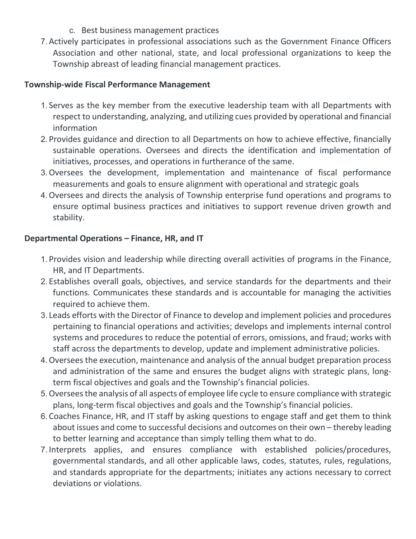- c. Best business management practices
- 7.Actively participates in professional associations such as the Government Finance Officers Association and other national, state, and local professional organizations to keep the Township abreast of leading financial management practices.

### **Township-wide Fiscal Performance Management**

- 1. Serves as the key member from the executive leadership team with all Departments with respect to understanding, analyzing, and utilizing cues provided by operational and financial information
- 2. Provides guidance and direction to all Departments on how to achieve effective, financially sustainable operations. Oversees and directs the identification and implementation of initiatives, processes, and operations in furtherance of the same.
- 3.Oversees the development, implementation and maintenance of fiscal performance measurements and goals to ensure alignment with operational and strategic goals
- 4.Oversees and directs the analysis of Township enterprise fund operations and programs to ensure optimal business practices and initiatives to support revenue driven growth and stability.

# **Departmental Operations – Finance, HR, and IT**

- 1. Provides vision and leadership while directing overall activities of programs in the Finance, HR, and IT Departments.
- 2. Establishes overall goals, objectives, and service standards for the departments and their functions. Communicates these standards and is accountable for managing the activities required to achieve them.
- 3. Leads efforts with the Director of Finance to develop and implement policies and procedures pertaining to financial operations and activities; develops and implements internal control systems and procedures to reduce the potential of errors, omissions, and fraud; works with staff across the departments to develop, update and implement administrative policies.
- 4.Oversees the execution, maintenance and analysis of the annual budget preparation process and administration of the same and ensures the budget aligns with strategic plans, longterm fiscal objectives and goals and the Township's financial policies.
- 5.Oversees the analysis of all aspects of employee life cycle to ensure compliance with strategic plans, long-term fiscal objectives and goals and the Township's financial policies.
- 6. Coaches Finance, HR, and IT staff by asking questions to engage staff and get them to think about issues and come to successful decisions and outcomes on their own – thereby leading to better learning and acceptance than simply telling them what to do.
- 7. Interprets applies, and ensures compliance with established policies/procedures, governmental standards, and all other applicable laws, codes, statutes, rules, regulations, and standards appropriate for the departments; initiates any actions necessary to correct deviations or violations.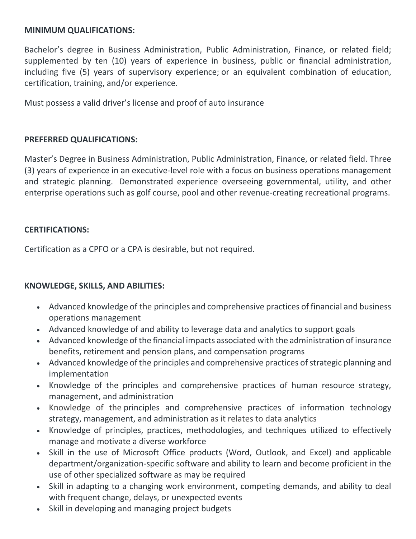### **MINIMUM QUALIFICATIONS:**

Bachelor's degree in Business Administration, Public Administration, Finance, or related field; supplemented by ten (10) years of experience in business, public or financial administration, including five (5) years of supervisory experience; or an equivalent combination of education, certification, training, and/or experience.

Must possess a valid driver's license and proof of auto insurance

# **PREFERRED QUALIFICATIONS:**

Master's Degree in Business Administration, Public Administration, Finance, or related field. Three (3) years of experience in an executive-level role with a focus on business operations management and strategic planning. Demonstrated experience overseeing governmental, utility, and other enterprise operations such as golf course, pool and other revenue-creating recreational programs.

# **CERTIFICATIONS:**

Certification as a CPFO or a CPA is desirable, but not required.

# **KNOWLEDGE, SKILLS, AND ABILITIES:**

- Advanced knowledge of the principles and comprehensive practices of financial and business operations management
- Advanced knowledge of and ability to leverage data and analytics to support goals
- Advanced knowledge of the financial impacts associated with the administration of insurance benefits, retirement and pension plans, and compensation programs
- Advanced knowledge of the principles and comprehensive practices of strategic planning and implementation
- Knowledge of the principles and comprehensive practices of human resource strategy, management, and administration
- Knowledge of the principles and comprehensive practices of information technology strategy, management, and administration as it relates to data analytics
- Knowledge of principles, practices, methodologies, and techniques utilized to effectively manage and motivate a diverse workforce
- Skill in the use of Microsoft Office products (Word, Outlook, and Excel) and applicable department/organization-specific software and ability to learn and become proficient in the use of other specialized software as may be required
- Skill in adapting to a changing work environment, competing demands, and ability to deal with frequent change, delays, or unexpected events
- Skill in developing and managing project budgets